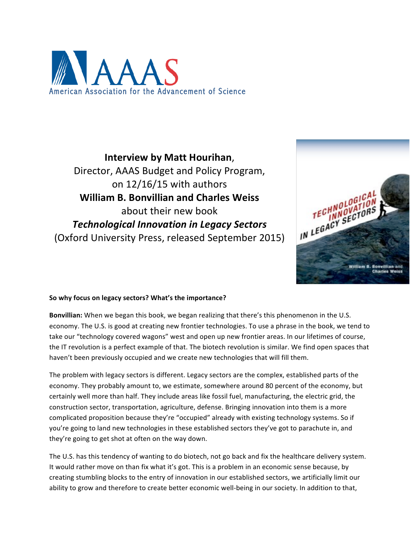

**Interview by Matt Hourihan**, Director, AAAS Budget and Policy Program, on  $12/16/15$  with authors **William B. Bonvillian and Charles Weiss** about their new book *Technological Innovation in Legacy Sectors* (Oxford University Press, released September 2015)



#### So why focus on legacy sectors? What's the importance?

**Bonvillian:** When we began this book, we began realizing that there's this phenomenon in the U.S. economy. The U.S. is good at creating new frontier technologies. To use a phrase in the book, we tend to take our "technology covered wagons" west and open up new frontier areas. In our lifetimes of course, the IT revolution is a perfect example of that. The biotech revolution is similar. We find open spaces that haven't been previously occupied and we create new technologies that will fill them.

The problem with legacy sectors is different. Legacy sectors are the complex, established parts of the economy. They probably amount to, we estimate, somewhere around 80 percent of the economy, but certainly well more than half. They include areas like fossil fuel, manufacturing, the electric grid, the construction sector, transportation, agriculture, defense. Bringing innovation into them is a more complicated proposition because they're "occupied" already with existing technology systems. So if you're going to land new technologies in these established sectors they've got to parachute in, and they're going to get shot at often on the way down.

The U.S. has this tendency of wanting to do biotech, not go back and fix the healthcare delivery system. It would rather move on than fix what it's got. This is a problem in an economic sense because, by creating stumbling blocks to the entry of innovation in our established sectors, we artificially limit our ability to grow and therefore to create better economic well-being in our society. In addition to that,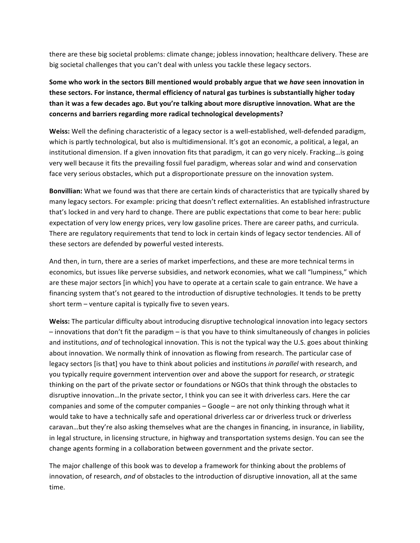there are these big societal problems: climate change; jobless innovation; healthcare delivery. These are big societal challenges that you can't deal with unless you tackle these legacy sectors.

**Some who work in the sectors Bill mentioned would probably argue that we have seen innovation in** these sectors. For instance, thermal efficiency of natural gas turbines is substantially higher today **than it was a few decades ago. But you're talking about more disruptive innovation. What are the concerns and barriers regarding more radical technological developments?**

**Weiss:** Well the defining characteristic of a legacy sector is a well-established, well-defended paradigm, which is partly technological, but also is multidimensional. It's got an economic, a political, a legal, an institutional dimension. If a given innovation fits that paradigm, it can go very nicely. Fracking... is going very well because it fits the prevailing fossil fuel paradigm, whereas solar and wind and conservation face very serious obstacles, which put a disproportionate pressure on the innovation system.

**Bonvillian:** What we found was that there are certain kinds of characteristics that are typically shared by many legacy sectors. For example: pricing that doesn't reflect externalities. An established infrastructure that's locked in and very hard to change. There are public expectations that come to bear here: public expectation of very low energy prices, very low gasoline prices. There are career paths, and curricula. There are regulatory requirements that tend to lock in certain kinds of legacy sector tendencies. All of these sectors are defended by powerful vested interests.

And then, in turn, there are a series of market imperfections, and these are more technical terms in economics, but issues like perverse subsidies, and network economies, what we call "lumpiness," which are these major sectors [in which] you have to operate at a certain scale to gain entrance. We have a financing system that's not geared to the introduction of disruptive technologies. It tends to be pretty short term  $-$  venture capital is typically five to seven years.

**Weiss:** The particular difficulty about introducing disruptive technological innovation into legacy sectors – innovations that don't fit the paradigm – is that you have to think simultaneously of changes in policies and institutions, and of technological innovation. This is not the typical way the U.S. goes about thinking about innovation. We normally think of innovation as flowing from research. The particular case of legacy sectors [is that] you have to think about policies and institutions *in parallel* with research, and you typically require government intervention over and above the support for research, or strategic thinking on the part of the private sector or foundations or NGOs that think through the obstacles to disruptive innovation...In the private sector, I think you can see it with driverless cars. Here the car companies and some of the computer companies  $-$  Google  $-$  are not only thinking through what it would take to have a technically safe and operational driverless car or driverless truck or driverless caravan...but they're also asking themselves what are the changes in financing, in insurance, in liability, in legal structure, in licensing structure, in highway and transportation systems design. You can see the change agents forming in a collaboration between government and the private sector.

The major challenge of this book was to develop a framework for thinking about the problems of innovation, of research, and of obstacles to the introduction of disruptive innovation, all at the same time.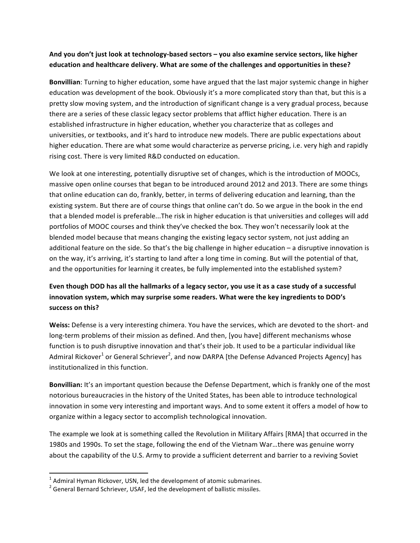#### And you don't just look at technology-based sectors – you also examine service sectors, like higher education and healthcare delivery. What are some of the challenges and opportunities in these?

**Bonvillian**: Turning to higher education, some have argued that the last major systemic change in higher education was development of the book. Obviously it's a more complicated story than that, but this is a pretty slow moving system, and the introduction of significant change is a very gradual process, because there are a series of these classic legacy sector problems that afflict higher education. There is an established infrastructure in higher education, whether you characterize that as colleges and universities, or textbooks, and it's hard to introduce new models. There are public expectations about higher education. There are what some would characterize as perverse pricing, i.e. very high and rapidly rising cost. There is very limited R&D conducted on education.

We look at one interesting, potentially disruptive set of changes, which is the introduction of MOOCs, massive open online courses that began to be introduced around 2012 and 2013. There are some things that online education can do, frankly, better, in terms of delivering education and learning, than the existing system. But there are of course things that online can't do. So we argue in the book in the end that a blended model is preferable...The risk in higher education is that universities and colleges will add portfolios of MOOC courses and think they've checked the box. They won't necessarily look at the blended model because that means changing the existing legacy sector system, not just adding an additional feature on the side. So that's the big challenge in higher education  $-$  a disruptive innovation is on the way, it's arriving, it's starting to land after a long time in coming. But will the potential of that, and the opportunities for learning it creates, be fully implemented into the established system?

# Even though DOD has all the hallmarks of a legacy sector, you use it as a case study of a successful innovation system, which may surprise some readers. What were the key ingredients to DOD's **success on this?**

**Weiss:** Defense is a very interesting chimera. You have the services, which are devoted to the short- and long-term problems of their mission as defined. And then, [you have] different mechanisms whose function is to push disruptive innovation and that's their job. It used to be a particular individual like Admiral Rickover<sup>1</sup> or General Schriever<sup>2</sup>, and now DARPA [the Defense Advanced Projects Agency] has institutionalized in this function.

**Bonvillian:** It's an important question because the Defense Department, which is frankly one of the most notorious bureaucracies in the history of the United States, has been able to introduce technological innovation in some very interesting and important ways. And to some extent it offers a model of how to organize within a legacy sector to accomplish technological innovation.

The example we look at is something called the Revolution in Military Affairs [RMA] that occurred in the 1980s and 1990s. To set the stage, following the end of the Vietnam War...there was genuine worry about the capability of the U.S. Army to provide a sufficient deterrent and barrier to a reviving Soviet

<u> 1989 - Jan Samuel Barbara, margaret e</u>

 $1$  Admiral Hyman Rickover, USN, led the development of atomic submarines.

<sup>2</sup> General Bernard Schriever, USAF, led the development of ballistic missiles.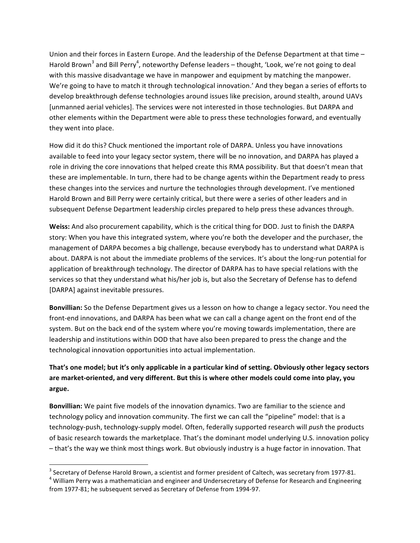Union and their forces in Eastern Europe. And the leadership of the Defense Department at that time -Harold Brown<sup>3</sup> and Bill Perry<sup>4</sup>, noteworthy Defense leaders – thought, 'Look, we're not going to deal with this massive disadvantage we have in manpower and equipment by matching the manpower. We're going to have to match it through technological innovation.' And they began a series of efforts to develop breakthrough defense technologies around issues like precision, around stealth, around UAVs [unmanned aerial vehicles]. The services were not interested in those technologies. But DARPA and other elements within the Department were able to press these technologies forward, and eventually they went into place.

How did it do this? Chuck mentioned the important role of DARPA. Unless you have innovations available to feed into your legacy sector system, there will be no innovation, and DARPA has played a role in driving the core innovations that helped create this RMA possibility. But that doesn't mean that these are implementable. In turn, there had to be change agents within the Department ready to press these changes into the services and nurture the technologies through development. I've mentioned Harold Brown and Bill Perry were certainly critical, but there were a series of other leaders and in subsequent Defense Department leadership circles prepared to help press these advances through.

Weiss: And also procurement capability, which is the critical thing for DOD. Just to finish the DARPA story: When you have this integrated system, where you're both the developer and the purchaser, the management of DARPA becomes a big challenge, because everybody has to understand what DARPA is about. DARPA is not about the immediate problems of the services. It's about the long-run potential for application of breakthrough technology. The director of DARPA has to have special relations with the services so that they understand what his/her job is, but also the Secretary of Defense has to defend [DARPA] against inevitable pressures.

**Bonvillian:** So the Defense Department gives us a lesson on how to change a legacy sector. You need the front-end innovations, and DARPA has been what we can call a change agent on the front end of the system. But on the back end of the system where you're moving towards implementation, there are leadership and institutions within DOD that have also been prepared to press the change and the technological innovation opportunities into actual implementation.

## That's one model; but it's only applicable in a particular kind of setting. Obviously other legacy sectors are market-oriented, and very different. But this is where other models could come into play, you **argue.**

**Bonvillian:** We paint five models of the innovation dynamics. Two are familiar to the science and technology policy and innovation community. The first we can call the "pipeline" model: that is a technology-push, technology-supply model. Often, federally supported research will *push* the products of basic research towards the marketplace. That's the dominant model underlying U.S. innovation policy - that's the way we think most things work. But obviously industry is a huge factor in innovation. That

<u> 1989 - Jan Samuel Barbara, margaret e</u>

<sup>&</sup>lt;sup>3</sup> Secretary of Defense Harold Brown, a scientist and former president of Caltech, was secretary from 1977-81.<br><sup>4</sup> William Perry was a mathematician and engineer and Undersecretary of Defense for Research and Engineering from 1977-81; he subsequent served as Secretary of Defense from 1994-97.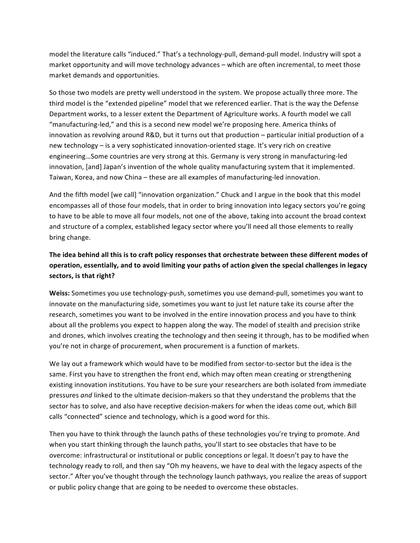model the literature calls "induced." That's a technology-pull, demand-pull model. Industry will spot a market opportunity and will move technology advances – which are often incremental, to meet those market demands and opportunities.

So those two models are pretty well understood in the system. We propose actually three more. The third model is the "extended pipeline" model that we referenced earlier. That is the way the Defense Department works, to a lesser extent the Department of Agriculture works. A fourth model we call "manufacturing-led," and this is a second new model we're proposing here. America thinks of innovation as revolving around R&D, but it turns out that production – particular initial production of a new technology – is a very sophisticated innovation-oriented stage. It's very rich on creative engineering...Some countries are very strong at this. Germany is very strong in manufacturing-led innovation, [and] Japan's invention of the whole quality manufacturing system that it implemented. Taiwan, Korea, and now China - these are all examples of manufacturing-led innovation.

And the fifth model [we call] "innovation organization." Chuck and I argue in the book that this model encompasses all of those four models, that in order to bring innovation into legacy sectors you're going to have to be able to move all four models, not one of the above, taking into account the broad context and structure of a complex, established legacy sector where you'll need all those elements to really bring change.

## The idea behind all this is to craft policy responses that orchestrate between these different modes of operation, essentially, and to avoid limiting your paths of action given the special challenges in legacy sectors, is that right?

Weiss: Sometimes you use technology-push, sometimes you use demand-pull, sometimes you want to innovate on the manufacturing side, sometimes you want to just let nature take its course after the research, sometimes you want to be involved in the entire innovation process and you have to think about all the problems you expect to happen along the way. The model of stealth and precision strike and drones, which involves creating the technology and then seeing it through, has to be modified when you're not in charge of procurement, when procurement is a function of markets.

We lay out a framework which would have to be modified from sector-to-sector but the idea is the same. First you have to strengthen the front end, which may often mean creating or strengthening existing innovation institutions. You have to be sure your researchers are both isolated from immediate pressures and linked to the ultimate decision-makers so that they understand the problems that the sector has to solve, and also have receptive decision-makers for when the ideas come out, which Bill calls "connected" science and technology, which is a good word for this.

Then you have to think through the launch paths of these technologies you're trying to promote. And when you start thinking through the launch paths, you'll start to see obstacles that have to be overcome: infrastructural or institutional or public conceptions or legal. It doesn't pay to have the technology ready to roll, and then say "Oh my heavens, we have to deal with the legacy aspects of the sector." After you've thought through the technology launch pathways, you realize the areas of support or public policy change that are going to be needed to overcome these obstacles.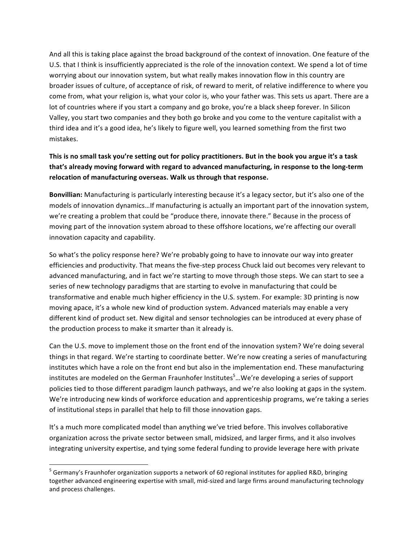And all this is taking place against the broad background of the context of innovation. One feature of the U.S. that I think is insufficiently appreciated is the role of the innovation context. We spend a lot of time worrying about our innovation system, but what really makes innovation flow in this country are broader issues of culture, of acceptance of risk, of reward to merit, of relative indifference to where you come from, what your religion is, what your color is, who your father was. This sets us apart. There are a lot of countries where if you start a company and go broke, you're a black sheep forever. In Silicon Valley, you start two companies and they both go broke and you come to the venture capitalist with a third idea and it's a good idea, he's likely to figure well, you learned something from the first two mistakes.

### This is no small task you're setting out for policy practitioners. But in the book you argue it's a task that's already moving forward with regard to advanced manufacturing, in response to the long-term **relocation of manufacturing overseas. Walk us through that response.**

**Bonvillian:** Manufacturing is particularly interesting because it's a legacy sector, but it's also one of the models of innovation dynamics...If manufacturing is actually an important part of the innovation system, we're creating a problem that could be "produce there, innovate there." Because in the process of moving part of the innovation system abroad to these offshore locations, we're affecting our overall innovation capacity and capability.

So what's the policy response here? We're probably going to have to innovate our way into greater efficiencies and productivity. That means the five-step process Chuck laid out becomes very relevant to advanced manufacturing, and in fact we're starting to move through those steps. We can start to see a series of new technology paradigms that are starting to evolve in manufacturing that could be transformative and enable much higher efficiency in the U.S. system. For example: 3D printing is now moving apace, it's a whole new kind of production system. Advanced materials may enable a very different kind of product set. New digital and sensor technologies can be introduced at every phase of the production process to make it smarter than it already is.

Can the U.S. move to implement those on the front end of the innovation system? We're doing several things in that regard. We're starting to coordinate better. We're now creating a series of manufacturing institutes which have a role on the front end but also in the implementation end. These manufacturing institutes are modeled on the German Fraunhofer Institutes<sup>5</sup>...We're developing a series of support policies tied to those different paradigm launch pathways, and we're also looking at gaps in the system. We're introducing new kinds of workforce education and apprenticeship programs, we're taking a series of institutional steps in parallel that help to fill those innovation gaps.

It's a much more complicated model than anything we've tried before. This involves collaborative organization across the private sector between small, midsized, and larger firms, and it also involves integrating university expertise, and tying some federal funding to provide leverage here with private

<u> 1989 - Jan Samuel Barbara, margaret e</u>

 $5$  Germany's Fraunhofer organization supports a network of 60 regional institutes for applied R&D, bringing together advanced engineering expertise with small, mid-sized and large firms around manufacturing technology and process challenges.